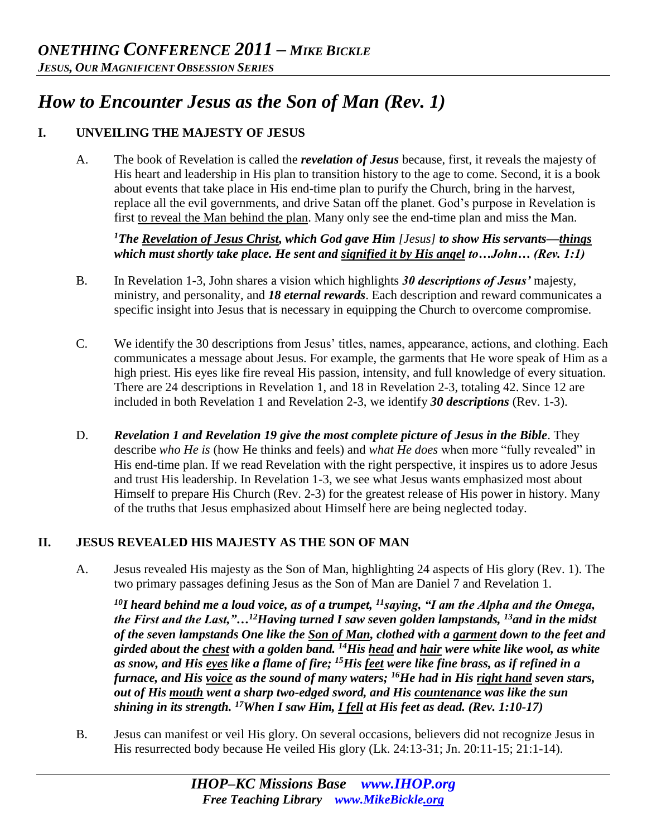# *How to Encounter Jesus as the Son of Man (Rev. 1)*

# **I. UNVEILING THE MAJESTY OF JESUS**

A. The book of Revelation is called the *revelation of Jesus* because, first, it reveals the majesty of His heart and leadership in His plan to transition history to the age to come. Second, it is a book about events that take place in His end-time plan to purify the Church, bring in the harvest, replace all the evil governments, and drive Satan off the planet. God's purpose in Revelation is first to reveal the Man behind the plan. Many only see the end-time plan and miss the Man.

*<sup>1</sup>The Revelation of Jesus Christ, which God gave Him [Jesus] to show His servants—things which must shortly take place. He sent and signified it by His angel to…John… (Rev. 1:1)* 

- B. In Revelation 1-3, John shares a vision which highlights *30 descriptions of Jesus'* majesty, ministry, and personality, and *18 eternal rewards*. Each description and reward communicates a specific insight into Jesus that is necessary in equipping the Church to overcome compromise.
- C. We identify the 30 descriptions from Jesus' titles, names, appearance, actions, and clothing. Each communicates a message about Jesus. For example, the garments that He wore speak of Him as a high priest. His eyes like fire reveal His passion, intensity, and full knowledge of every situation. There are 24 descriptions in Revelation 1, and 18 in Revelation 2-3, totaling 42. Since 12 are included in both Revelation 1 and Revelation 2-3, we identify *30 descriptions* (Rev. 1-3).
- D. *Revelation 1 and Revelation 19 give the most complete picture of Jesus in the Bible*. They describe *who He is* (how He thinks and feels) and *what He does* when more "fully revealed" in His end-time plan. If we read Revelation with the right perspective, it inspires us to adore Jesus and trust His leadership. In Revelation 1-3, we see what Jesus wants emphasized most about Himself to prepare His Church (Rev. 2-3) for the greatest release of His power in history. Many of the truths that Jesus emphasized about Himself here are being neglected today.

# **II. JESUS REVEALED HIS MAJESTY AS THE SON OF MAN**

A. Jesus revealed His majesty as the Son of Man, highlighting 24 aspects of His glory (Rev. 1). The two primary passages defining Jesus as the Son of Man are Daniel 7 and Revelation 1.

*<sup>10</sup>I heard behind me a loud voice, as of a trumpet, <sup>11</sup>saying, "I am the Alpha and the Omega, the First and the Last,"…<sup>12</sup>Having turned I saw seven golden lampstands, <sup>13</sup>and in the midst of the seven lampstands One like the Son of Man, clothed with a garment down to the feet and girded about the chest with a golden band. <sup>14</sup>His head and hair were white like wool, as white as snow, and His eyes like a flame of fire; <sup>15</sup>His feet were like fine brass, as if refined in a furnace, and His voice as the sound of many waters; <sup>16</sup>He had in His right hand seven stars, out of His mouth went a sharp two-edged sword, and His countenance was like the sun shining in its strength. <sup>17</sup>When I saw Him, I fell at His feet as dead. (Rev. 1:10-17)* 

B. Jesus can manifest or veil His glory. On several occasions, believers did not recognize Jesus in His resurrected body because He veiled His glory (Lk. 24:13-31; Jn. 20:11-15; 21:1-14).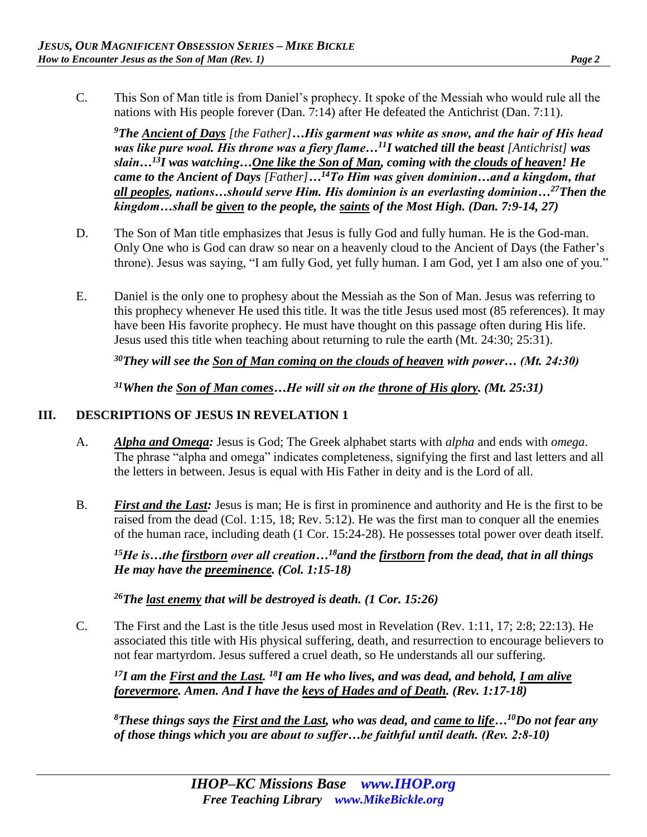- 
- C. This Son of Man title is from Daniel's prophecy. It spoke of the Messiah who would rule all the nations with His people forever (Dan. 7:14) after He defeated the Antichrist (Dan. 7:11).

*<sup>9</sup>The Ancient of Days [the Father]…His garment was white as snow, and the hair of His head was like pure wool. His throne was a fiery flame…<sup>11</sup>I watched till the beast [Antichrist] was slain…<sup>13</sup>I was watching…One like the Son of Man, coming with the clouds of heaven! He came to the Ancient of Days [Father]…<sup>14</sup>To Him was given dominion…and a kingdom, that all peoples, nations…should serve Him. His dominion is an everlasting dominion…<sup>27</sup>Then the kingdom…shall be given to the people, the saints of the Most High. (Dan. 7:9-14, 27)* 

- D. The Son of Man title emphasizes that Jesus is fully God and fully human. He is the God-man. Only One who is God can draw so near on a heavenly cloud to the Ancient of Days (the Father's throne). Jesus was saying, "I am fully God, yet fully human. I am God, yet I am also one of you."
- E. Daniel is the only one to prophesy about the Messiah as the Son of Man. Jesus was referring to this prophecy whenever He used this title. It was the title Jesus used most (85 references). It may have been His favorite prophecy. He must have thought on this passage often during His life. Jesus used this title when teaching about returning to rule the earth (Mt. 24:30; 25:31).

*<sup>30</sup>They will see the Son of Man coming on the clouds of heaven with power… (Mt. 24:30)* 

*<sup>31</sup>When the Son of Man comes…He will sit on the throne of His glory. (Mt. 25:31)* 

## **III. DESCRIPTIONS OF JESUS IN REVELATION 1**

- A. *Alpha and Omega:* Jesus is God; The Greek alphabet starts with *alpha* and ends with *omega*. The phrase "alpha and omega" indicates completeness, signifying the first and last letters and all the letters in between. Jesus is equal with His Father in deity and is the Lord of all.
- B. *First and the Last:* Jesus is man; He is first in prominence and authority and He is the first to be raised from the dead (Col. 1:15, 18; Rev. 5:12). He was the first man to conquer all the enemies of the human race, including death (1 Cor. 15:24-28). He possesses total power over death itself.

*<sup>15</sup>He is…the firstborn over all creation…<sup>18</sup>and the firstborn from the dead, that in all things He may have the preeminence. (Col. 1:15-18)* 

*<sup>26</sup>The last enemy that will be destroyed is death. (1 Cor. 15:26)* 

C. The First and the Last is the title Jesus used most in Revelation (Rev. 1:11, 17; 2:8; 22:13). He associated this title with His physical suffering, death, and resurrection to encourage believers to not fear martyrdom. Jesus suffered a cruel death, so He understands all our suffering.

<sup>17</sup>*I am the <u>First and the Last</u>. <sup>18</sup><i>I am He who lives, and was dead, and behold, <u>I am alive</u> forevermore. Amen. And I have the keys of Hades and of Death. (Rev. 1:17-18)* 

*<sup>8</sup>These things says the First and the Last, who was dead, and came to life…<sup>10</sup>Do not fear any of those things which you are about to suffer…be faithful until death. (Rev. 2:8-10)*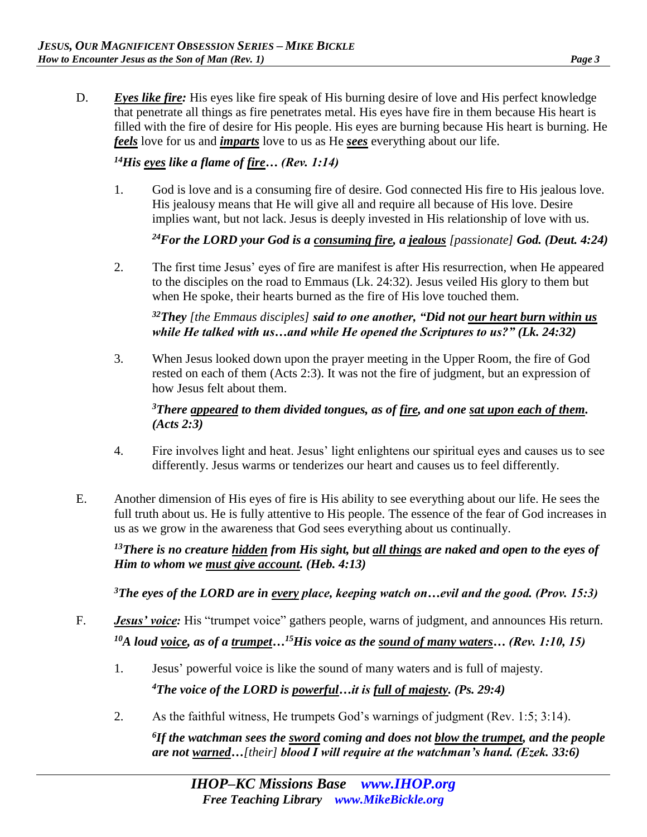D. *Eyes like fire:* His eyes like fire speak of His burning desire of love and His perfect knowledge that penetrate all things as fire penetrates metal. His eyes have fire in them because His heart is filled with the fire of desire for His people. His eyes are burning because His heart is burning. He *feels* love for us and *imparts* love to us as He *sees* everything about our life.

#### *<sup>14</sup>His eyes like a flame of fire… (Rev. 1:14)*

1. God is love and is a consuming fire of desire. God connected His fire to His jealous love. His jealousy means that He will give all and require all because of His love. Desire implies want, but not lack. Jesus is deeply invested in His relationship of love with us.

#### *<sup>24</sup>For the LORD your God is a consuming fire, a jealous [passionate] God. (Deut. 4:24)*

2. The first time Jesus' eyes of fire are manifest is after His resurrection, when He appeared to the disciples on the road to Emmaus (Lk. 24:32). Jesus veiled His glory to them but when He spoke, their hearts burned as the fire of His love touched them.

#### *<sup>32</sup>They [the Emmaus disciples] said to one another, "Did not our heart burn within us while He talked with us…and while He opened the Scriptures to us?" (Lk. 24:32)*

3. When Jesus looked down upon the prayer meeting in the Upper Room, the fire of God rested on each of them (Acts 2:3). It was not the fire of judgment, but an expression of how Jesus felt about them.

#### *<sup>3</sup>There appeared to them divided tongues, as of fire, and one sat upon each of them. (Acts 2:3)*

- 4. Fire involves light and heat. Jesus' light enlightens our spiritual eyes and causes us to see differently. Jesus warms or tenderizes our heart and causes us to feel differently.
- E. Another dimension of His eyes of fire is His ability to see everything about our life. He sees the full truth about us. He is fully attentive to His people. The essence of the fear of God increases in us as we grow in the awareness that God sees everything about us continually.

*<sup>13</sup>There is no creature hidden from His sight, but all things are naked and open to the eyes of Him to whom we must give account. (Heb. 4:13)* 

*<sup>3</sup>The eyes of the LORD are in every place, keeping watch on…evil and the good. (Prov. 15:3)* 

- F. *Jesus' voice:* His "trumpet voice" gathers people, warns of judgment, and announces His return. *<sup>10</sup>A loud voice, as of a trumpet…<sup>15</sup>His voice as the sound of many waters… (Rev. 1:10, 15)* 
	- 1. Jesus' powerful voice is like the sound of many waters and is full of majesty. *<sup>4</sup>The voice of the LORD is powerful…it is full of majesty. (Ps. 29:4)*
	- 2. As the faithful witness, He trumpets God's warnings of judgment (Rev. 1:5; 3:14).

*6 If the watchman sees the sword coming and does not blow the trumpet, and the people are not warned…[their] blood I will require at the watchman's hand. (Ezek. 33:6)*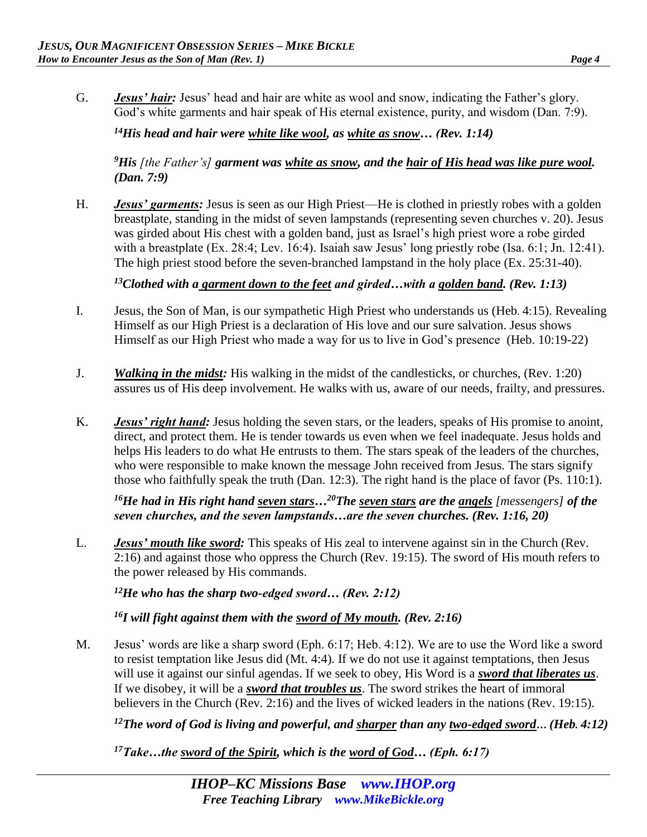G. *Jesus' hair:* Jesus' head and hair are white as wool and snow, indicating the Father's glory. God's white garments and hair speak of His eternal existence, purity, and wisdom (Dan. 7:9).

*<sup>14</sup>His head and hair were white like wool, as white as snow… (Rev. 1:14)* 

*<sup>9</sup>His [the Father's] garment was white as snow, and the hair of His head was like pure wool. (Dan. 7:9)* 

H. *Jesus' garments:* Jesus is seen as our High Priest—He is clothed in priestly robes with a golden breastplate, standing in the midst of seven lampstands (representing seven churches v. 20). Jesus was girded about His chest with a golden band, just as Israel's high priest wore a robe girded with a breastplate (Ex. 28:4; Lev. 16:4). Isaiah saw Jesus' long priestly robe (Isa. 6:1; Jn. 12:41). The high priest stood before the seven-branched lampstand in the holy place (Ex. 25:31-40).

## *<sup>13</sup>Clothed with a garment down to the feet and girded…with a golden band. (Rev. 1:13)*

- I. Jesus, the Son of Man, is our sympathetic High Priest who understands us (Heb. 4:15). Revealing Himself as our High Priest is a declaration of His love and our sure salvation. Jesus shows Himself as our High Priest who made a way for us to live in God's presence (Heb. 10:19-22)
- J. *Walking in the midst:* His walking in the midst of the candlesticks, or churches, (Rev. 1:20) assures us of His deep involvement. He walks with us, aware of our needs, frailty, and pressures.
- K. *Jesus' right hand:* Jesus holding the seven stars, or the leaders, speaks of His promise to anoint, direct, and protect them. He is tender towards us even when we feel inadequate. Jesus holds and helps His leaders to do what He entrusts to them. The stars speak of the leaders of the churches, who were responsible to make known the message John received from Jesus. The stars signify those who faithfully speak the truth (Dan. 12:3). The right hand is the place of favor (Ps. 110:1).

*<sup>16</sup>He had in His right hand seven stars…<sup>20</sup>The seven stars are the angels [messengers] of the seven churches, and the seven lampstands…are the seven churches. (Rev. 1:16, 20)* 

L. *Jesus' mouth like sword:* This speaks of His zeal to intervene against sin in the Church (Rev. 2:16) and against those who oppress the Church (Rev. 19:15). The sword of His mouth refers to the power released by His commands.

*<sup>12</sup>He who has the sharp two-edged sword… (Rev. 2:12)* 

*<sup>16</sup>I will fight against them with the sword of My mouth. (Rev. 2:16)* 

M. Jesus' words are like a sharp sword (Eph. 6:17; Heb. 4:12). We are to use the Word like a sword to resist temptation like Jesus did (Mt. 4:4). If we do not use it against temptations, then Jesus will use it against our sinful agendas. If we seek to obey, His Word is a *sword that liberates us*. If we disobey, it will be a *sword that troubles us*. The sword strikes the heart of immoral believers in the Church (Rev. 2:16) and the lives of wicked leaders in the nations (Rev. 19:15).

*<sup>12</sup>The word of God is living and powerful, and sharper than any two-edged sword… (Heb. 4:12)*

*17Take…the sword of the Spirit, which is the word of God… (Eph. 6:17)*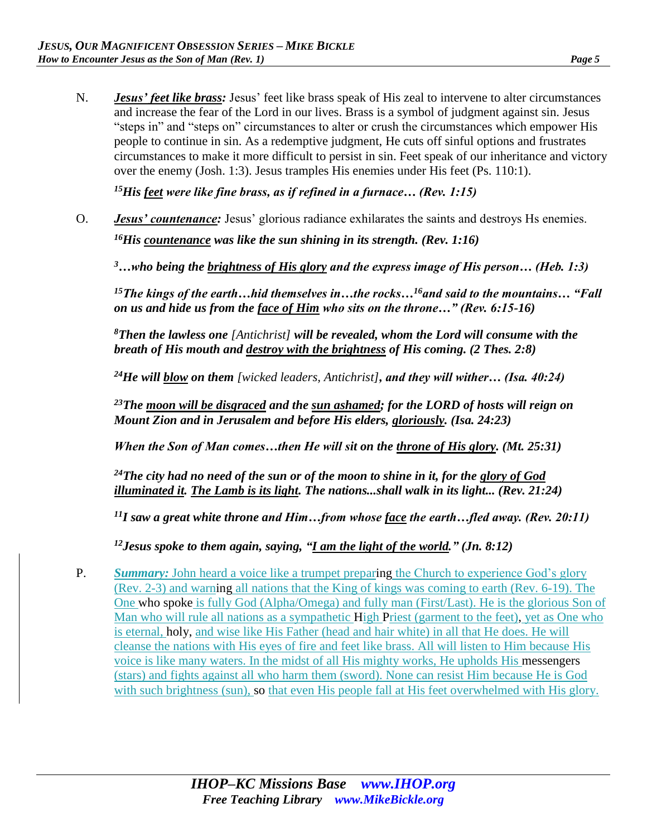N. *Jesus' feet like brass:* Jesus' feet like brass speak of His zeal to intervene to alter circumstances and increase the fear of the Lord in our lives. Brass is a symbol of judgment against sin. Jesus "steps in" and "steps on" circumstances to alter or crush the circumstances which empower His people to continue in sin. As a redemptive judgment, He cuts off sinful options and frustrates circumstances to make it more difficult to persist in sin. Feet speak of our inheritance and victory over the enemy (Josh. 1:3). Jesus tramples His enemies under His feet (Ps. 110:1).

*<sup>15</sup>His feet were like fine brass, as if refined in a furnace… (Rev. 1:15)* 

O. *Jesus' countenance:* Jesus' glorious radiance exhilarates the saints and destroys Hs enemies. *<sup>16</sup>His countenance was like the sun shining in its strength. (Rev. 1:16)* 

*<sup>3</sup>…who being the brightness of His glory and the express image of His person… (Heb. 1:3)* 

*<sup>15</sup>The kings of the earth…hid themselves in…the rocks…<sup>16</sup>and said to the mountains… "Fall on us and hide us from the face of Him who sits on the throne…" (Rev. 6:15-16)* 

*<sup>8</sup>Then the lawless one [Antichrist] will be revealed, whom the Lord will consume with the breath of His mouth and destroy with the brightness of His coming. (2 Thes. 2:8)* 

*<sup>24</sup>He will blow on them [wicked leaders, Antichrist], and they will wither… (Isa. 40:24)* 

*<sup>23</sup>The moon will be disgraced and the sun ashamed; for the LORD of hosts will reign on Mount Zion and in Jerusalem and before His elders, gloriously. (Isa. 24:23)* 

*When the Son of Man comes…then He will sit on the throne of His glory. (Mt. 25:31)* 

*<sup>24</sup>The city had no need of the sun or of the moon to shine in it, for the glory of God illuminated it. The Lamb is its light. The nations...shall walk in its light... (Rev. 21:24)* 

*<sup>11</sup>I saw a great white throne and Him…from whose face the earth…fled away. (Rev. 20:11)* 

*<sup>12</sup>Jesus spoke to them again, saying, "I am the light of the world." (Jn. 8:12)* 

P. Summary: John heard a voice like a trumpet preparing the Church to experience God's glory (Rev. 2-3) and warning all nations that the King of kings was coming to earth (Rev. 6-19). The One who spoke is fully God (Alpha/Omega) and fully man (First/Last). He is the glorious Son of Man who will rule all nations as a sympathetic High Priest (garment to the feet), yet as One who is eternal, holy, and wise like His Father (head and hair white) in all that He does. He will cleanse the nations with His eyes of fire and feet like brass. All will listen to Him because His voice is like many waters. In the midst of all His mighty works, He upholds His messengers (stars) and fights against all who harm them (sword). None can resist Him because He is God with such brightness (sun), so that even His people fall at His feet overwhelmed with His glory.